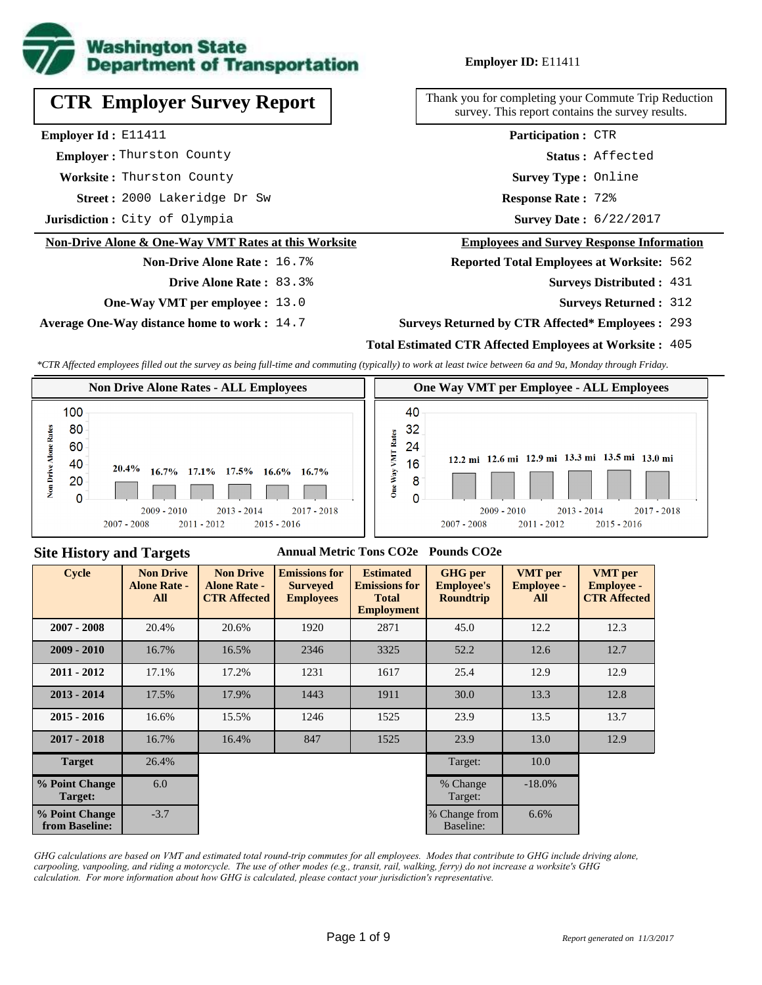

# **CTR Employer Survey Report**

**Employer Id :** E11411

 **Employer :** Thurston County

**Worksite :** Thurston County

2000 Lakeridge Dr Sw **Response Rate : Street :**

**Jurisdiction :** City of Olympia

## **Non-Drive Alone & One-Way VMT Rates at this Worksite**

## **Non-Drive Alone Rate :** 16.7% **Drive Alone Rate :** 83.3%

- 
- **One-Way VMT per employee :** 13.0

**Average One-Way distance home to work :** 14.7

## **Employer ID:** E11411

Thank you for completing your Commute Trip Reduction survey. This report contains the survey results.

> Response Rate: 72% **Survey Type :** Online **Status :** Affected **Participation :** CTR

Survey Date: 6/22/2017

#### **Employees and Survey Response Information**

**Reported Total Employees at Worksite:** 562

- 431 **Surveys Distributed :**
	- **Surveys Returned :** 312

#### **Surveys Returned by CTR Affected\* Employees :** 293

#### **Total Estimated CTR Affected Employees at Worksite :** 405

*\*CTR Affected employees filled out the survey as being full-time and commuting (typically) to work at least twice between 6a and 9a, Monday through Friday.*



### **Site History and Targets**

#### **Annual Metric Tons CO2e Pounds CO2e**

| <b>Cycle</b>                     | <b>Non Drive</b><br><b>Alone Rate -</b><br>All | <b>Non Drive</b><br><b>Alone Rate -</b><br><b>CTR Affected</b> | <b>Emissions for</b><br><b>Surveyed</b><br><b>Employees</b> | <b>Estimated</b><br><b>Emissions for</b><br><b>Total</b><br><b>Employment</b> | <b>GHG</b> per<br><b>Employee's</b><br><b>Roundtrip</b> | <b>VMT</b> per<br><b>Employee -</b><br>All | <b>VMT</b> per<br><b>Employee -</b><br><b>CTR Affected</b> |
|----------------------------------|------------------------------------------------|----------------------------------------------------------------|-------------------------------------------------------------|-------------------------------------------------------------------------------|---------------------------------------------------------|--------------------------------------------|------------------------------------------------------------|
| $2007 - 2008$                    | 20.4%                                          | 20.6%                                                          | 1920                                                        | 2871                                                                          | 45.0                                                    | 12.2                                       | 12.3                                                       |
| $2009 - 2010$                    | 16.7%                                          | 16.5%                                                          | 2346                                                        | 3325                                                                          | 52.2                                                    | 12.6                                       | 12.7                                                       |
| $2011 - 2012$                    | 17.1%                                          | 17.2%                                                          | 1231                                                        | 1617                                                                          | 25.4                                                    | 12.9                                       | 12.9                                                       |
| $2013 - 2014$                    | 17.5%                                          | 17.9%                                                          | 1443                                                        | 1911                                                                          | 30.0                                                    | 13.3                                       | 12.8                                                       |
| $2015 - 2016$                    | 16.6%                                          | 15.5%                                                          | 1246                                                        | 1525                                                                          | 23.9                                                    | 13.5                                       | 13.7                                                       |
| $2017 - 2018$                    | 16.7%                                          | 16.4%                                                          | 847                                                         | 1525                                                                          | 23.9                                                    | 13.0                                       | 12.9                                                       |
| <b>Target</b>                    | 26.4%                                          |                                                                |                                                             |                                                                               | Target:                                                 | 10.0                                       |                                                            |
| % Point Change<br>Target:        | 6.0                                            |                                                                |                                                             |                                                                               | % Change<br>Target:                                     | $-18.0\%$                                  |                                                            |
| % Point Change<br>from Baseline: | $-3.7$                                         |                                                                |                                                             |                                                                               | % Change from<br><b>Baseline:</b>                       | 6.6%                                       |                                                            |

*GHG calculations are based on VMT and estimated total round-trip commutes for all employees. Modes that contribute to GHG include driving alone, carpooling, vanpooling, and riding a motorcycle. The use of other modes (e.g., transit, rail, walking, ferry) do not increase a worksite's GHG calculation. For more information about how GHG is calculated, please contact your jurisdiction's representative.*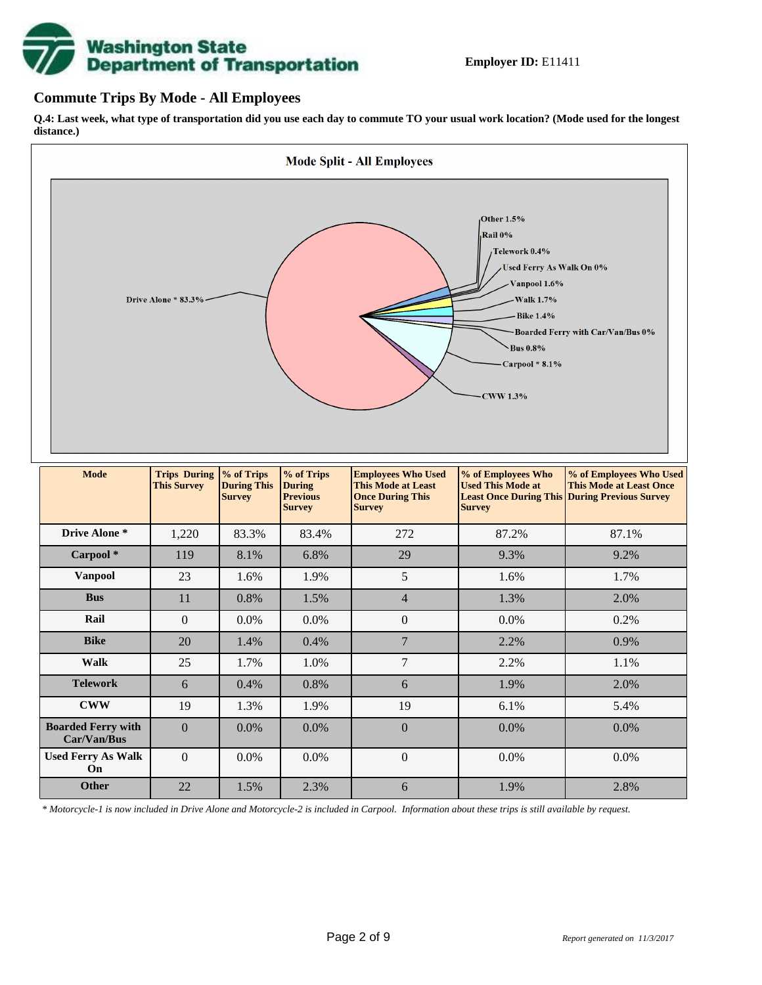# **Washington State<br>Department of Transportation**

## **Commute Trips By Mode - All Employees**

**Q.4: Last week, what type of transportation did you use each day to commute TO your usual work location? (Mode used for the longest distance.)**



*\* Motorcycle-1 is now included in Drive Alone and Motorcycle-2 is included in Carpool. Information about these trips is still available by request.*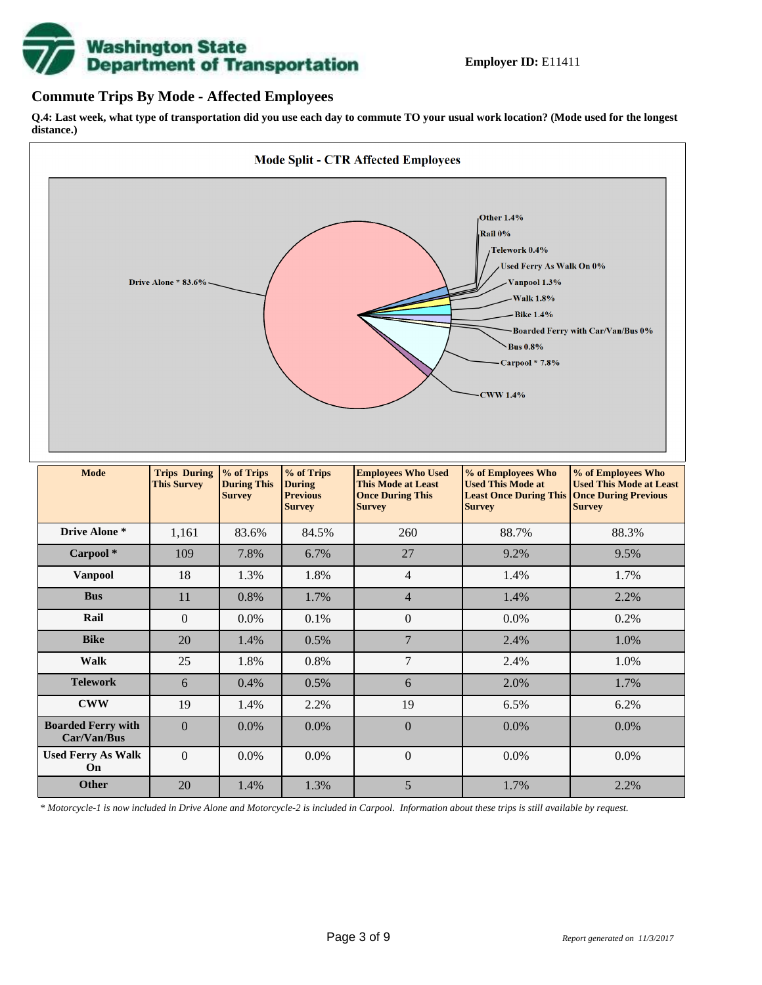

## **Commute Trips By Mode - Affected Employees**

**Q.4: Last week, what type of transportation did you use each day to commute TO your usual work location? (Mode used for the longest distance.)**



*\* Motorcycle-1 is now included in Drive Alone and Motorcycle-2 is included in Carpool. Information about these trips is still available by request.*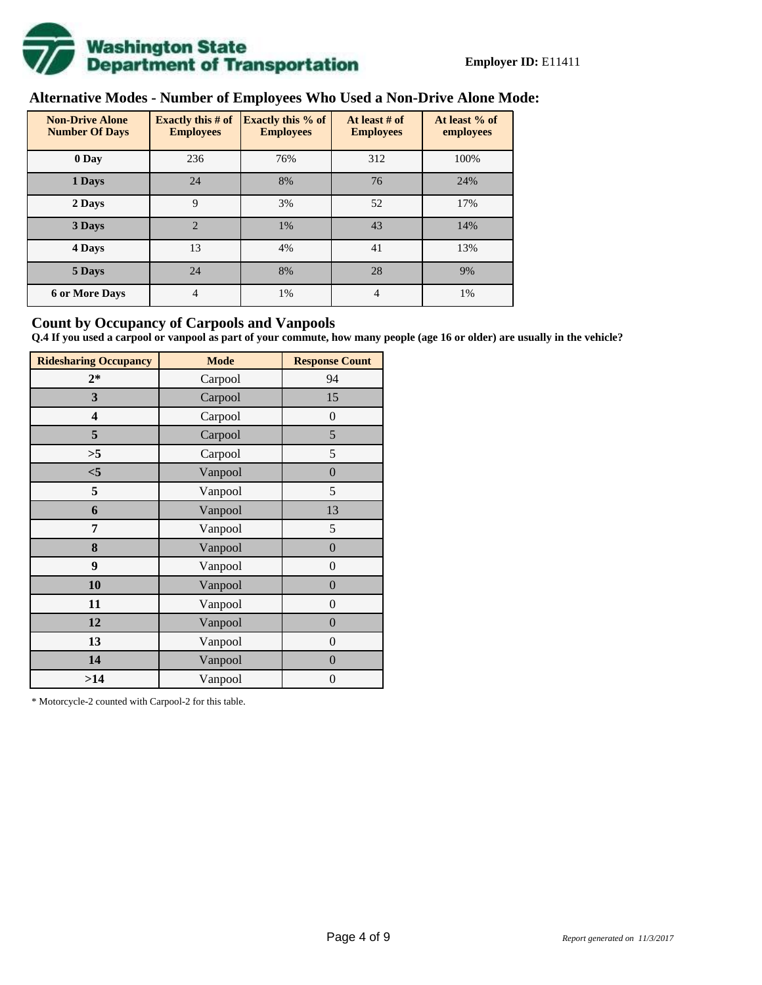

# **Alternative Modes - Number of Employees Who Used a Non-Drive Alone Mode:**

| <b>Non-Drive Alone</b><br><b>Number Of Days</b> | <b>Exactly this # of</b><br><b>Employees</b> | <b>Exactly this % of</b><br><b>Employees</b> | At least # of<br><b>Employees</b> | At least % of<br>employees |
|-------------------------------------------------|----------------------------------------------|----------------------------------------------|-----------------------------------|----------------------------|
| 0 Day                                           | 236                                          | 76%                                          | 312                               | 100%                       |
| 1 Days                                          | 24                                           | 8%                                           | 76                                | 24%                        |
| 2 Days                                          | 9                                            | 3%                                           | 52                                | 17%                        |
| 3 Days                                          | $\overline{2}$                               | 1%                                           | 43                                | 14%                        |
| 4 Days                                          | 13                                           | 4%                                           | 41                                | 13%                        |
| 5 Days                                          | 24                                           | 8%                                           | 28                                | 9%                         |
| <b>6 or More Days</b>                           | 4                                            | 1%                                           | 4                                 | 1%                         |

## **Count by Occupancy of Carpools and Vanpools**

**Q.4 If you used a carpool or vanpool as part of your commute, how many people (age 16 or older) are usually in the vehicle?**

| <b>Ridesharing Occupancy</b> | <b>Mode</b> | <b>Response Count</b> |
|------------------------------|-------------|-----------------------|
| $2*$                         | Carpool     | 94                    |
| 3                            | Carpool     | 15                    |
| 4                            | Carpool     | $\boldsymbol{0}$      |
| 5                            | Carpool     | 5                     |
| >5                           | Carpool     | 5                     |
| $<$ 5                        | Vanpool     | $\overline{0}$        |
| 5                            | Vanpool     | 5                     |
| 6                            | Vanpool     | 13                    |
| 7                            | Vanpool     | 5                     |
| 8                            | Vanpool     | $\boldsymbol{0}$      |
| 9                            | Vanpool     | $\overline{0}$        |
| 10                           | Vanpool     | $\overline{0}$        |
| 11                           | Vanpool     | $\boldsymbol{0}$      |
| 12                           | Vanpool     | $\boldsymbol{0}$      |
| 13                           | Vanpool     | $\boldsymbol{0}$      |
| 14                           | Vanpool     | $\overline{0}$        |
| >14                          | Vanpool     | $\boldsymbol{0}$      |

\* Motorcycle-2 counted with Carpool-2 for this table.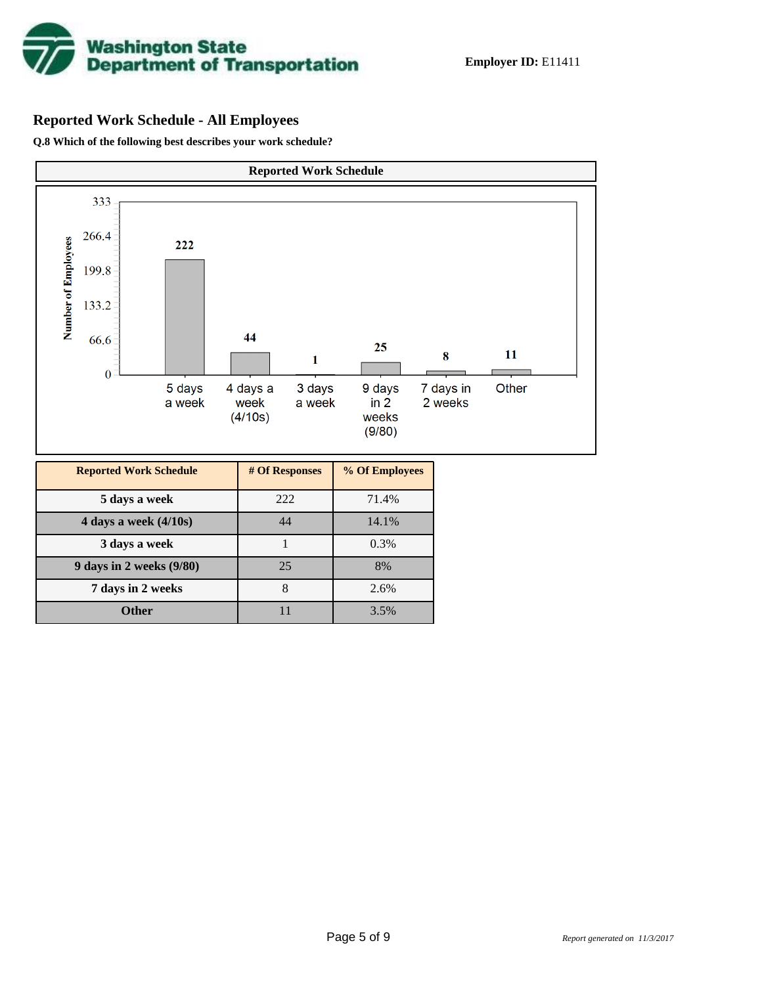

# **Reported Work Schedule - All Employees**

**Q.8 Which of the following best describes your work schedule?**

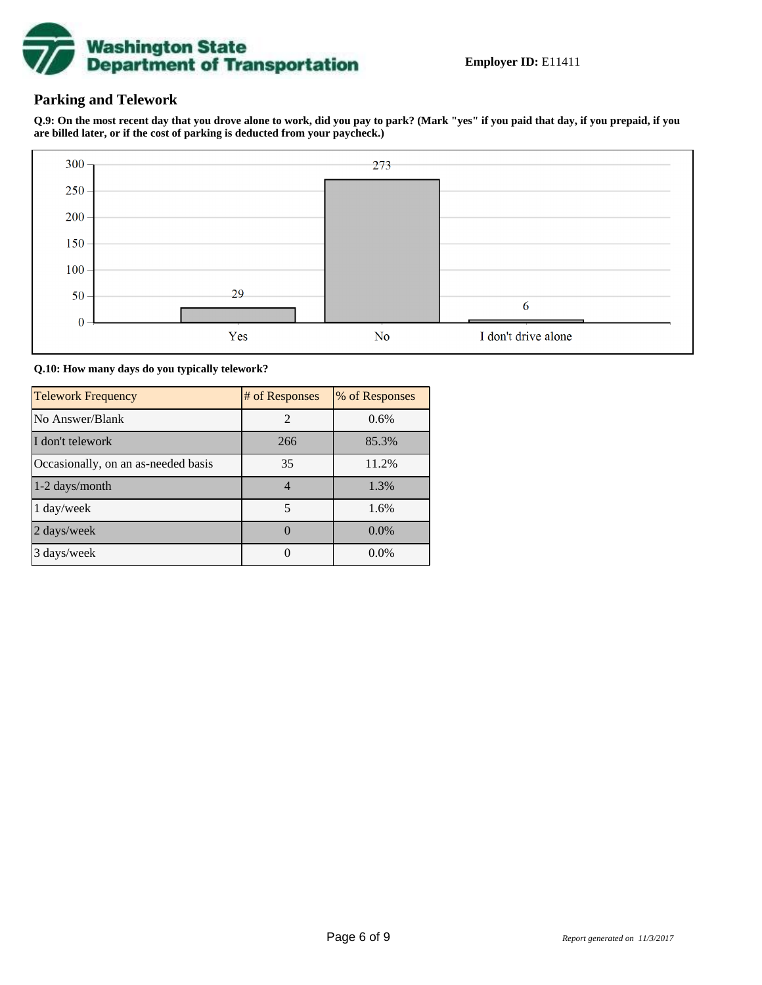

## **Parking and Telework**

**Q.9: On the most recent day that you drove alone to work, did you pay to park? (Mark "yes" if you paid that day, if you prepaid, if you are billed later, or if the cost of parking is deducted from your paycheck.)**



**Q.10: How many days do you typically telework?**

| <b>Telework Frequency</b>           | # of Responses | % of Responses |
|-------------------------------------|----------------|----------------|
| No Answer/Blank                     | 2              | 0.6%           |
| I don't telework                    | 266            | 85.3%          |
| Occasionally, on an as-needed basis | 35             | 11.2%          |
| 1-2 days/month                      | 4              | 1.3%           |
| 1 day/week                          | 5              | 1.6%           |
| 2 days/week                         |                | $0.0\%$        |
| 3 days/week                         |                | $0.0\%$        |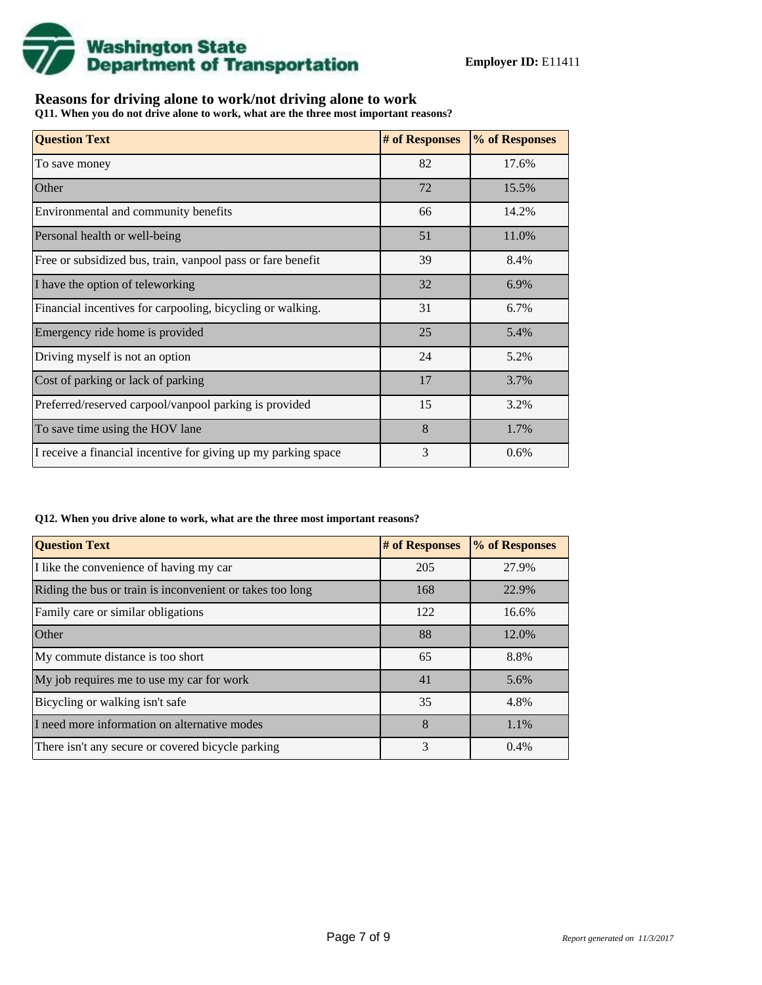

## **Reasons for driving alone to work/not driving alone to work**

**Q11. When you do not drive alone to work, what are the three most important reasons?**

| <b>Question Text</b>                                           | # of Responses | % of Responses |
|----------------------------------------------------------------|----------------|----------------|
| To save money                                                  | 82             | 17.6%          |
| Other                                                          | 72             | 15.5%          |
| Environmental and community benefits                           | 66             | 14.2%          |
| Personal health or well-being                                  | 51             | 11.0%          |
| Free or subsidized bus, train, vanpool pass or fare benefit    | 39             | 8.4%           |
| I have the option of teleworking                               | 32             | 6.9%           |
| Financial incentives for carpooling, bicycling or walking.     | 31             | 6.7%           |
| Emergency ride home is provided                                | 25             | 5.4%           |
| Driving myself is not an option                                | 24             | 5.2%           |
| Cost of parking or lack of parking                             | 17             | 3.7%           |
| Preferred/reserved carpool/vanpool parking is provided         | 15             | 3.2%           |
| To save time using the HOV lane                                | 8              | 1.7%           |
| I receive a financial incentive for giving up my parking space | 3              | 0.6%           |

#### **Q12. When you drive alone to work, what are the three most important reasons?**

| <b>Question Text</b>                                      | # of Responses | % of Responses |
|-----------------------------------------------------------|----------------|----------------|
| I like the convenience of having my car                   | 205            | 27.9%          |
| Riding the bus or train is inconvenient or takes too long | 168            | 22.9%          |
| Family care or similar obligations                        | 122            | 16.6%          |
| <b>Other</b>                                              | 88             | 12.0%          |
| My commute distance is too short                          | 65             | 8.8%           |
| My job requires me to use my car for work                 | 41             | 5.6%           |
| Bicycling or walking isn't safe                           | 35             | 4.8%           |
| I need more information on alternative modes              | 8              | 1.1%           |
| There isn't any secure or covered bicycle parking         | 3              | 0.4%           |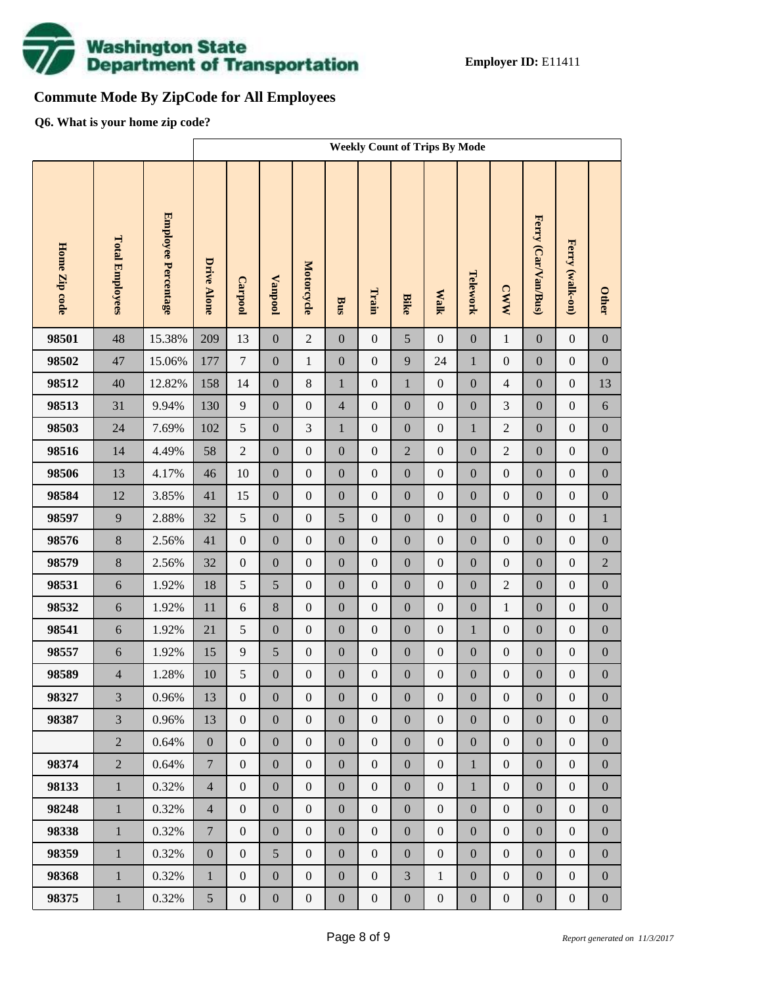

# **Commute Mode By ZipCode for All Employees**

**Q6. What is your home zip code?**

|               |                        |                     | <b>Weekly Count of Trips By Mode</b> |                  |                  |                  |                  |                  |                  |                  |                  |                  |                     |                  |                  |
|---------------|------------------------|---------------------|--------------------------------------|------------------|------------------|------------------|------------------|------------------|------------------|------------------|------------------|------------------|---------------------|------------------|------------------|
| Home Zip code | <b>Total Employees</b> | Employee Percentage | <b>Drive Alone</b>                   | Carpool          | <b>Vanpool</b>   | Motorcycle       | Bus              | Train            | <b>Bike</b>      | <b>Walk</b>      | Telework         | <b>CWW</b>       | Ferry (Car/Van/Bus) | Ferry (walk-on)  | <b>Other</b>     |
| 98501         | 48                     | 15.38%              | 209                                  | 13               | $\boldsymbol{0}$ | $\overline{2}$   | $\boldsymbol{0}$ | $\boldsymbol{0}$ | 5                | $\boldsymbol{0}$ | $\boldsymbol{0}$ | $\mathbf{1}$     | $\mathbf{0}$        | $\boldsymbol{0}$ | $\boldsymbol{0}$ |
| 98502         | 47                     | 15.06%              | 177                                  | $\tau$           | $\boldsymbol{0}$ | $\mathbf{1}$     | $\boldsymbol{0}$ | $\boldsymbol{0}$ | 9                | 24               | $\mathbf{1}$     | $\boldsymbol{0}$ | $\boldsymbol{0}$    | $\boldsymbol{0}$ | $\boldsymbol{0}$ |
| 98512         | 40                     | 12.82%              | 158                                  | 14               | $\boldsymbol{0}$ | $8\,$            | $\mathbf{1}$     | $\boldsymbol{0}$ | $\mathbf 1$      | $\boldsymbol{0}$ | $\boldsymbol{0}$ | $\overline{4}$   | $\boldsymbol{0}$    | $\boldsymbol{0}$ | 13               |
| 98513         | 31                     | 9.94%               | 130                                  | 9                | $\boldsymbol{0}$ | $\boldsymbol{0}$ | $\overline{4}$   | $\boldsymbol{0}$ | $\overline{0}$   | $\boldsymbol{0}$ | $\boldsymbol{0}$ | 3                | $\boldsymbol{0}$    | $\boldsymbol{0}$ | $6\,$            |
| 98503         | 24                     | 7.69%               | 102                                  | 5                | $\boldsymbol{0}$ | 3                | $\mathbf{1}$     | $\boldsymbol{0}$ | $\boldsymbol{0}$ | $\boldsymbol{0}$ | $\mathbf{1}$     | $\sqrt{2}$       | $\boldsymbol{0}$    | $\boldsymbol{0}$ | $\boldsymbol{0}$ |
| 98516         | 14                     | 4.49%               | 58                                   | $\boldsymbol{2}$ | $\boldsymbol{0}$ | $\boldsymbol{0}$ | $\boldsymbol{0}$ | $\boldsymbol{0}$ | $\overline{2}$   | $\boldsymbol{0}$ | $\boldsymbol{0}$ | $\overline{2}$   | $\boldsymbol{0}$    | $\boldsymbol{0}$ | $\boldsymbol{0}$ |
| 98506         | 13                     | 4.17%               | 46                                   | 10               | $\boldsymbol{0}$ | $\boldsymbol{0}$ | $\boldsymbol{0}$ | $\boldsymbol{0}$ | $\boldsymbol{0}$ | $\boldsymbol{0}$ | $\boldsymbol{0}$ | $\boldsymbol{0}$ | $\boldsymbol{0}$    | $\boldsymbol{0}$ | $\boldsymbol{0}$ |
| 98584         | 12                     | 3.85%               | 41                                   | 15               | $\boldsymbol{0}$ | $\boldsymbol{0}$ | $\boldsymbol{0}$ | $\boldsymbol{0}$ | $\overline{0}$   | $\boldsymbol{0}$ | $\boldsymbol{0}$ | $\boldsymbol{0}$ | $\boldsymbol{0}$    | $\boldsymbol{0}$ | $\boldsymbol{0}$ |
| 98597         | 9                      | 2.88%               | 32                                   | 5                | $\boldsymbol{0}$ | $\boldsymbol{0}$ | 5                | $\boldsymbol{0}$ | $\boldsymbol{0}$ | $\boldsymbol{0}$ | $\boldsymbol{0}$ | $\boldsymbol{0}$ | $\boldsymbol{0}$    | $\boldsymbol{0}$ | $\,1$            |
| 98576         | 8                      | 2.56%               | 41                                   | $\boldsymbol{0}$ | $\boldsymbol{0}$ | $\boldsymbol{0}$ | $\boldsymbol{0}$ | $\boldsymbol{0}$ | $\overline{0}$   | $\boldsymbol{0}$ | $\boldsymbol{0}$ | $\boldsymbol{0}$ | $\boldsymbol{0}$    | $\boldsymbol{0}$ | $\boldsymbol{0}$ |
| 98579         | $8\,$                  | 2.56%               | 32                                   | $\boldsymbol{0}$ | $\boldsymbol{0}$ | $\boldsymbol{0}$ | $\boldsymbol{0}$ | $\boldsymbol{0}$ | $\boldsymbol{0}$ | $\boldsymbol{0}$ | $\boldsymbol{0}$ | $\boldsymbol{0}$ | $\boldsymbol{0}$    | $\boldsymbol{0}$ | $\sqrt{2}$       |
| 98531         | $\sqrt{6}$             | 1.92%               | 18                                   | 5                | 5                | $\boldsymbol{0}$ | $\boldsymbol{0}$ | $\boldsymbol{0}$ | $\overline{0}$   | $\boldsymbol{0}$ | $\boldsymbol{0}$ | $\overline{2}$   | $\boldsymbol{0}$    | $\boldsymbol{0}$ | $\boldsymbol{0}$ |
| 98532         | $\sqrt{6}$             | 1.92%               | 11                                   | $6\,$            | $\,8\,$          | $\boldsymbol{0}$ | $\boldsymbol{0}$ | $\boldsymbol{0}$ | $\boldsymbol{0}$ | $\boldsymbol{0}$ | $\boldsymbol{0}$ | $\mathbf{1}$     | $\boldsymbol{0}$    | $\boldsymbol{0}$ | $\boldsymbol{0}$ |
| 98541         | $\sqrt{6}$             | 1.92%               | 21                                   | 5                | $\boldsymbol{0}$ | $\boldsymbol{0}$ | $\boldsymbol{0}$ | $\boldsymbol{0}$ | $\overline{0}$   | $\boldsymbol{0}$ | $\mathbf{1}$     | $\boldsymbol{0}$ | $\boldsymbol{0}$    | $\boldsymbol{0}$ | $\boldsymbol{0}$ |
| 98557         | $\sqrt{6}$             | 1.92%               | 15                                   | 9                | 5                | $\boldsymbol{0}$ | $\boldsymbol{0}$ | $\boldsymbol{0}$ | $\boldsymbol{0}$ | $\boldsymbol{0}$ | $\boldsymbol{0}$ | $\boldsymbol{0}$ | $\boldsymbol{0}$    | $\boldsymbol{0}$ | $\boldsymbol{0}$ |
| 98589         | $\overline{4}$         | 1.28%               | 10                                   | 5                | $\boldsymbol{0}$ | $\boldsymbol{0}$ | $\boldsymbol{0}$ | $\boldsymbol{0}$ | $\mathbf{0}$     | $\boldsymbol{0}$ | $\boldsymbol{0}$ | $\boldsymbol{0}$ | $\boldsymbol{0}$    | $\boldsymbol{0}$ | $\boldsymbol{0}$ |
| 98327         | $\overline{3}$         | 0.96%               | 13                                   | $\mathbf{0}$     | $\boldsymbol{0}$ | $\boldsymbol{0}$ | $\boldsymbol{0}$ | $\boldsymbol{0}$ | $\boldsymbol{0}$ | $\mathbf{0}$     | $\boldsymbol{0}$ | $\boldsymbol{0}$ | $\boldsymbol{0}$    | $\boldsymbol{0}$ | $\boldsymbol{0}$ |
| 98387         | $\overline{3}$         | 0.96%               | 13                                   | $\overline{0}$   | $\boldsymbol{0}$ | $\boldsymbol{0}$ | $\boldsymbol{0}$ | $\boldsymbol{0}$ | $\overline{0}$   | $\boldsymbol{0}$ | $\boldsymbol{0}$ | $\boldsymbol{0}$ | $\boldsymbol{0}$    | $\boldsymbol{0}$ | $\overline{0}$   |
|               | $\overline{2}$         | 0.64%               | $\boldsymbol{0}$                     | $\boldsymbol{0}$ | $\boldsymbol{0}$ | $\boldsymbol{0}$ | $\boldsymbol{0}$ | $\boldsymbol{0}$ | $\overline{0}$   | $\boldsymbol{0}$ | $\boldsymbol{0}$ | $\boldsymbol{0}$ | $\boldsymbol{0}$    | $\boldsymbol{0}$ | $\boldsymbol{0}$ |
| 98374         | $\overline{2}$         | 0.64%               | $\overline{7}$                       | $\boldsymbol{0}$ | $\boldsymbol{0}$ | $\boldsymbol{0}$ | $\boldsymbol{0}$ | $\boldsymbol{0}$ | $\boldsymbol{0}$ | $\boldsymbol{0}$ | $\mathbf{1}$     | $\boldsymbol{0}$ | $\boldsymbol{0}$    | $\boldsymbol{0}$ | $\boldsymbol{0}$ |
| 98133         | $\mathbf{1}$           | 0.32%               | $\overline{4}$                       | $\boldsymbol{0}$ | $\boldsymbol{0}$ | $\boldsymbol{0}$ | $\overline{0}$   | $\boldsymbol{0}$ | $\overline{0}$   | $\boldsymbol{0}$ | $\mathbf{1}$     | $\boldsymbol{0}$ | $\boldsymbol{0}$    | $\boldsymbol{0}$ | $\boldsymbol{0}$ |
| 98248         | $\mathbf{1}$           | 0.32%               | $\overline{4}$                       | $\boldsymbol{0}$ | $\boldsymbol{0}$ | $\boldsymbol{0}$ | $\boldsymbol{0}$ | $\boldsymbol{0}$ | $\boldsymbol{0}$ | $\boldsymbol{0}$ | $\boldsymbol{0}$ | $\boldsymbol{0}$ | $\boldsymbol{0}$    | $\boldsymbol{0}$ | $\boldsymbol{0}$ |
| 98338         | $\mathbf{1}$           | 0.32%               | $\overline{7}$                       | $\boldsymbol{0}$ | $\boldsymbol{0}$ | $\boldsymbol{0}$ | $\overline{0}$   | $\mathbf{0}$     | $\overline{0}$   | $\boldsymbol{0}$ | $\boldsymbol{0}$ | $\boldsymbol{0}$ | $\boldsymbol{0}$    | $\boldsymbol{0}$ | $\boldsymbol{0}$ |
| 98359         | $\mathbf{1}$           | 0.32%               | $\boldsymbol{0}$                     | $\boldsymbol{0}$ | 5                | $\boldsymbol{0}$ | $\boldsymbol{0}$ | $\boldsymbol{0}$ | $\boldsymbol{0}$ | $\boldsymbol{0}$ | $\boldsymbol{0}$ | $\boldsymbol{0}$ | $\boldsymbol{0}$    | $\boldsymbol{0}$ | $\boldsymbol{0}$ |
| 98368         | $\mathbf{1}$           | 0.32%               | $\mathbf{1}$                         | $\boldsymbol{0}$ | $\boldsymbol{0}$ | $\boldsymbol{0}$ | $\boldsymbol{0}$ | $\boldsymbol{0}$ | 3                | $\mathbf{1}$     | $\boldsymbol{0}$ | $\boldsymbol{0}$ | $\boldsymbol{0}$    | $\boldsymbol{0}$ | $\boldsymbol{0}$ |
| 98375         | $1\,$                  | 0.32%               | 5                                    | $\boldsymbol{0}$ | $\boldsymbol{0}$ | $\boldsymbol{0}$ | $\boldsymbol{0}$ | $\boldsymbol{0}$ | $\boldsymbol{0}$ | $\boldsymbol{0}$ | $\boldsymbol{0}$ | $\boldsymbol{0}$ | $\boldsymbol{0}$    | $\boldsymbol{0}$ | $\boldsymbol{0}$ |